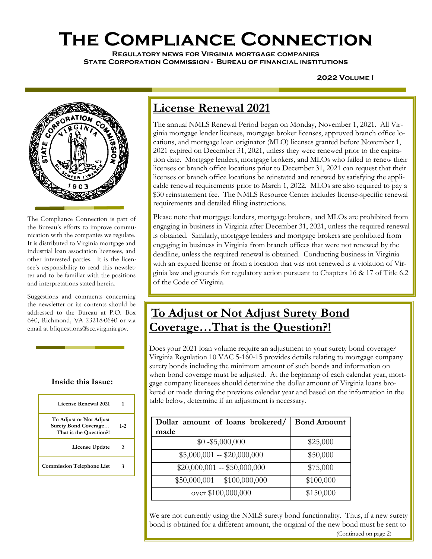# **The Compliance Connection**

**Regulatory news for Virginia mortgage companies State Corporation Commission - Bureau of financial institutions** 

#### **2022 Volume I**



The Compliance Connection is part of the Bureau's efforts to improve communication with the companies we regulate. It is distributed to Virginia mortgage and industrial loan association licensees, and other interested parties. It is the licensee's responsibility to read this newsletter and to be familiar with the positions and interpretations stated herein.

Suggestions and comments concerning the newsletter or its contents should be addressed to the Bureau at P.O. Box 640, Richmond, VA 23218-0640 or via email at bfiquestions@scc.virginia.gov.

#### **Inside this Issue:**

| License Renewal 2021                                                      |       |
|---------------------------------------------------------------------------|-------|
| To Adjust or Not Adjust<br>Surety Bond Coverage<br>That is the Question?! | $1-2$ |
| License Update                                                            | 2.    |
| <b>Commission Telephone List</b>                                          | 3     |

## **License Renewal 2021**

The annual NMLS Renewal Period began on Monday, November 1, 2021. All Virginia mortgage lender licenses, mortgage broker licenses, approved branch office locations, and mortgage loan originator (MLO) licenses granted before November 1, 2021 expired on December 31, 2021, unless they were renewed prior to the expiration date. Mortgage lenders, mortgage brokers, and MLOs who failed to renew their licenses or branch office locations prior to December 31, 2021 can request that their licenses or branch office locations be reinstated and renewed by satisfying the applicable renewal requirements prior to March 1, 2022. MLOs are also required to pay a \$30 reinstatement fee. The NMLS Resource Center includes license-specific renewal requirements and detailed filing instructions.

Please note that mortgage lenders, mortgage brokers, and MLOs are prohibited from engaging in business in Virginia after December 31, 2021, unless the required renewal is obtained. Similarly, mortgage lenders and mortgage brokers are prohibited from engaging in business in Virginia from branch offices that were not renewed by the deadline, unless the required renewal is obtained. Conducting business in Virginia with an expired license or from a location that was not renewed is a violation of Virginia law and grounds for regulatory action pursuant to Chapters 16 & 17 of Title 6.2 of the Code of Virginia.

## **To Adjust or Not Adjust Surety Bond Coverage…That is the Question?!**

Does your 2021 loan volume require an adjustment to your surety bond coverage? Virginia Regulation 10 VAC 5-160-15 provides details relating to mortgage company surety bonds including the minimum amount of such bonds and information on when bond coverage must be adjusted. At the beginning of each calendar year, mortgage company licensees should determine the dollar amount of Virginia loans brokered or made during the previous calendar year and based on the information in the table below, determine if an adjustment is necessary.

| Dollar amount of loans brokered/ | <b>Bond Amount</b> |
|----------------------------------|--------------------|
| made                             |                    |
| $$0 - $5,000,000$                | \$25,000           |
| $$5,000,001 - $20,000,000$       | \$50,000           |
| $$20,000,001 - $50,000,000$      | \$75,000           |
| $$50,000,001 - $100,000,000$     | \$100,000          |
| over \$100,000,000               | \$150,000          |

(Continued on page 2) We are not currently using the NMLS surety bond functionality. Thus, if a new surety bond is obtained for a different amount, the original of the new bond must be sent to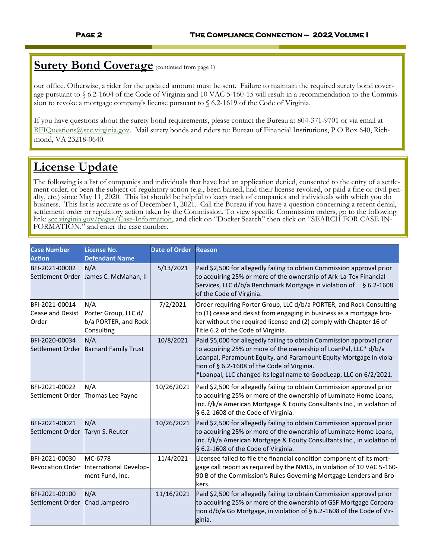#### **Surety Bond Coverage** (continued from page 1)

our office. Otherwise, a rider for the updated amount must be sent. Failure to maintain the required surety bond coverage pursuant to § 6.2-1604 of the Code of Virginia and 10 VAC 5-160-15 will result in a recommendation to the Commission to revoke a mortgage company's license pursuant to § 6.2-1619 of the Code of Virginia.

If you have questions about the surety bond requirements, please contact the Bureau at 804-371-9701 or via email at [BFIQuestions@scc.virginia.gov.](mailto:BFIQuestions@scc.virginia.gov) Mail surety bonds and riders to: Bureau of Financial Institutions, P.O Box 640, Richmond, VA 23218-0640.

### **License Update**

The following is a list of companies and individuals that have had an application denied, consented to the entry of a settlement order, or been the subject of regulatory action (e.g., been barred, had their license revoked, or paid a fine or civil penalty, etc.) since May 11, 2020. This list should be helpful to keep track of companies and individuals with which you do business. This list is accurate as of December 1, 2021. Call the Bureau if you have a question concerning a recent denial, settlement order or regulatory action taken by the Commission. To view specific Commission orders, go to the following link: [scc.virginia.gov/pages/Case-Information](https://scc.virginia.gov/DocketSearch), and click on "Docket Search" then click on "SEARCH FOR CASE IN-FORMATION," and enter the case number.

| <b>Case Number</b><br><b>Action</b>         | <b>License No.</b><br><b>Defendant Name</b>                           | <b>Date of Order</b> | <b>Reason</b>                                                                                                                                                                                                                                                                                                                         |
|---------------------------------------------|-----------------------------------------------------------------------|----------------------|---------------------------------------------------------------------------------------------------------------------------------------------------------------------------------------------------------------------------------------------------------------------------------------------------------------------------------------|
| BFI-2021-00002<br>Settlement Order          | N/A<br>James C. McMahan, II                                           | 5/13/2021            | Paid \$2,500 for allegedly failing to obtain Commission approval prior<br>to acquiring 25% or more of the ownership of Ark-La-Tex Financial<br>Services, LLC d/b/a Benchmark Mortgage in violation of<br>$§$ 6.2-1608<br>of the Code of Virginia.                                                                                     |
| BFI-2021-00014<br>Cease and Desist<br>Order | N/A<br>Porter Group, LLC d/<br>b/a PORTER, and Rock<br>Consulting     | 7/2/2021             | Order requiring Porter Group, LLC d/b/a PORTER, and Rock Consulting<br>to (1) cease and desist from engaging in business as a mortgage bro-<br>ker without the required license and (2) comply with Chapter 16 of<br>Title 6.2 of the Code of Virginia.                                                                               |
| BFI-2020-00034<br>Settlement Order          | N/A<br><b>Barnard Family Trust</b>                                    | 10/8/2021            | Paid \$5,000 for allegedly failing to obtain Commission approval prior<br>to acquiring 25% or more of the ownership of LoanPal, LLC* d/b/a<br>Loanpal, Paramount Equity, and Paramount Equity Mortgage in viola-<br>tion of § 6.2-1608 of the Code of Virginia.<br>*Loanpal, LLC changed its legal name to GoodLeap, LLC on 6/2/2021. |
| BFI-2021-00022<br>Settlement Order          | N/A<br>Thomas Lee Payne                                               | 10/26/2021           | Paid \$2,500 for allegedly failing to obtain Commission approval prior<br>to acquiring 25% or more of the ownership of Luminate Home Loans,<br>Inc. f/k/a American Mortgage & Equity Consultants Inc., in violation of<br>§ 6.2-1608 of the Code of Virginia.                                                                         |
| BFI-2021-00021<br>Settlement Order          | N/A<br>Taryn S. Reuter                                                | 10/26/2021           | Paid \$2,500 for allegedly failing to obtain Commission approval prior<br>to acquiring 25% or more of the ownership of Luminate Home Loans,<br>Inc. f/k/a American Mortgage & Equity Consultants Inc., in violation of<br>§ 6.2-1608 of the Code of Virginia.                                                                         |
| BFI-2021-00030                              | MC-6778<br>Revocation Order International Develop-<br>ment Fund, Inc. | 11/4/2021            | Licensee failed to file the financial condition component of its mort-<br>gage call report as required by the NMLS, in violation of 10 VAC 5-160-<br>90 B of the Commission's Rules Governing Mortgage Lenders and Bro-<br>kers.                                                                                                      |
| BFI-2021-00100<br>Settlement Order          | N/A<br>Chad Jampedro                                                  | 11/16/2021           | Paid \$2,500 for allegedly failing to obtain Commission approval prior<br>to acquiring 25% or more of the ownership of GSF Mortgage Corpora-<br>tion d/b/a Go Mortgage, in violation of § 6.2-1608 of the Code of Vir-<br>ginia.                                                                                                      |